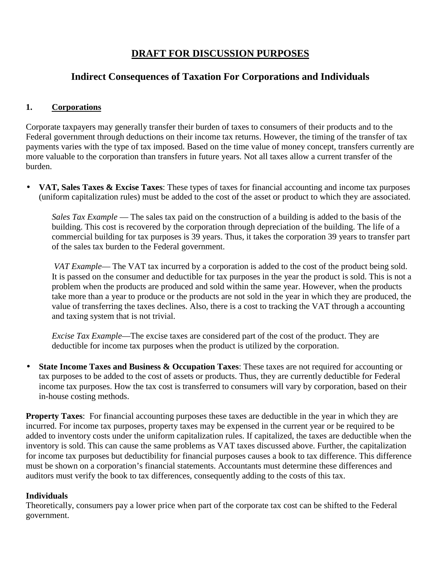## **DRAFT FOR DISCUSSION PURPOSES**

## **Indirect Consequences of Taxation For Corporations and Individuals**

## **1. Corporations**

Corporate taxpayers may generally transfer their burden of taxes to consumers of their products and to the Federal government through deductions on their income tax returns. However, the timing of the transfer of tax payments varies with the type of tax imposed. Based on the time value of money concept, transfers currently are more valuable to the corporation than transfers in future years. Not all taxes allow a current transfer of the burden.

• **VAT, Sales Taxes & Excise Taxes**: These types of taxes for financial accounting and income tax purposes (uniform capitalization rules) must be added to the cost of the asset or product to which they are associated.

*Sales Tax Example* — The sales tax paid on the construction of a building is added to the basis of the building. This cost is recovered by the corporation through depreciation of the building. The life of a commercial building for tax purposes is 39 years. Thus, it takes the corporation 39 years to transfer part of the sales tax burden to the Federal government.

*VAT Example*— The VAT tax incurred by a corporation is added to the cost of the product being sold. It is passed on the consumer and deductible for tax purposes in the year the product is sold. This is not a problem when the products are produced and sold within the same year. However, when the products take more than a year to produce or the products are not sold in the year in which they are produced, the value of transferring the taxes declines. Also, there is a cost to tracking the VAT through a accounting and taxing system that is not trivial.

*Excise Tax Example*—The excise taxes are considered part of the cost of the product. They are deductible for income tax purposes when the product is utilized by the corporation.

• **State Income Taxes and Business & Occupation Taxes**: These taxes are not required for accounting or tax purposes to be added to the cost of assets or products. Thus, they are currently deductible for Federal income tax purposes. How the tax cost is transferred to consumers will vary by corporation, based on their in-house costing methods.

**Property Taxes:** For financial accounting purposes these taxes are deductible in the year in which they are incurred. For income tax purposes, property taxes may be expensed in the current year or be required to be added to inventory costs under the uniform capitalization rules. If capitalized, the taxes are deductible when the inventory is sold. This can cause the same problems as VAT taxes discussed above. Further, the capitalization for income tax purposes but deductibility for financial purposes causes a book to tax difference. This difference must be shown on a corporation's financial statements. Accountants must determine these differences and auditors must verify the book to tax differences, consequently adding to the costs of this tax.

## **Individuals**

Theoretically, consumers pay a lower price when part of the corporate tax cost can be shifted to the Federal government.